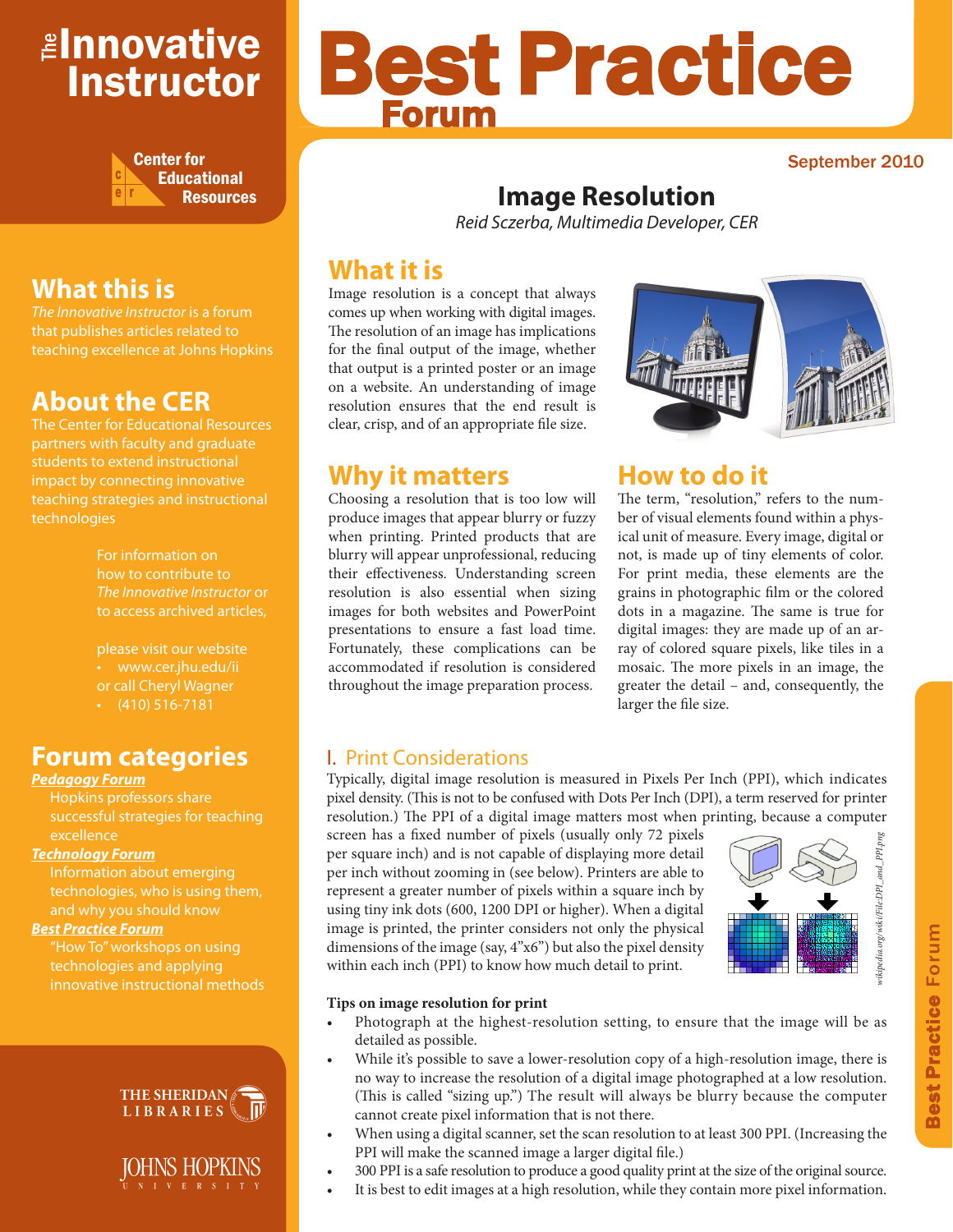# ≇l<mark>nnovative</mark> Instructor



# **What this is**

*The Innovative Instructor* is a forum that publishes articles related to teaching excellence at Johns Hopkins

# **About the CER**

The Center for Educational Resources partners with faculty and graduate teaching strategies and instructional technologies

> For information on how to contribute to *The Innovative Instructor* or to access archived articles,

please visit our website or call Cheryl Wagner  $\cdot$  (410) 516-7181

### **Forum categories**

### *Pedagogy Forum*

successful strategies for teaching excellence

### *Technology Forum*

technologies, who is using them, and why you should know

### *Best Practice Forum*

technologies and applying innovative instructional methods



### IOHNS HOPKINS N I V E R S I T Y

# Best Practice Forum

### September 2010

# **Image Resolution**

*Reid Sczerba, Multimedia Developer, CER*

# **What it is**

Image resolution is a concept that always comes up when working with digital images. The resolution of an image has implications for the final output of the image, whether that output is a printed poster or an image on a website. An understanding of image resolution ensures that the end result is clear, crisp, and of an appropriate file size.

## **Why it matters**

Choosing a resolution that is too low will produce images that appear blurry or fuzzy when printing. Printed products that are blurry will appear unprofessional, reducing their effectiveness. Understanding screen resolution is also essential when sizing images for both websites and PowerPoint presentations to ensure a fast load time. Fortunately, these complications can be accommodated if resolution is considered throughout the image preparation process.



# **How to do it**

The term, "resolution," refers to the number of visual elements found within a physical unit of measure. Every image, digital or not, is made up of tiny elements of color. For print media, these elements are the grains in photographic film or the colored dots in a magazine. The same is true for digital images: they are made up of an array of colored square pixels, like tiles in a mosaic. The more pixels in an image, the greater the detail – and, consequently, the larger the file size.

### I. Print Considerations

Typically, digital image resolution is measured in Pixels Per Inch (PPI), which indicates pixel density. (This is not to be confused with Dots Per Inch (DPI), a term reserved for printer resolution.) The PPI of a digital image matters most when printing, because a computer

screen has a fixed number of pixels (usually only 72 pixels per square inch) and is not capable of displaying more detail per inch without zooming in (see below). Printers are able to represent a greater number of pixels within a square inch by using tiny ink dots (600, 1200 DPI or higher). When a digital image is printed, the printer considers not only the physical dimensions of the image (say, 4"x6") but also the pixel density within each inch (PPI) to know how much detail to print. For square in the distant of pixels (usually only /2 pixels<br>per inch without zooming in (see below). Printers are able to<br>represent a greater number of pixels within a square inch by<br>using tiny ink dots (600, 1200 DPI or h



### **Tips on image resolution for print**

- Photograph at the highest-resolution setting, to ensure that the image will be as detailed as possible.
- While it's possible to save a lower-resolution copy of a high-resolution image, there is no way to increase the resolution of a digital image photographed at a low resolution. (This is called "sizing up.") The result will always be blurry because the computer cannot create pixel information that is not there.
- When using a digital scanner, set the scan resolution to at least 300 PPI. (Increasing the PPI will make the scanned image a larger digital file.)
- 
- 300 PPI is a safe resolution to produce a good quality print at the size of the original source.<br>It is best to edit images at a high resolution, while they contain more pixel information.